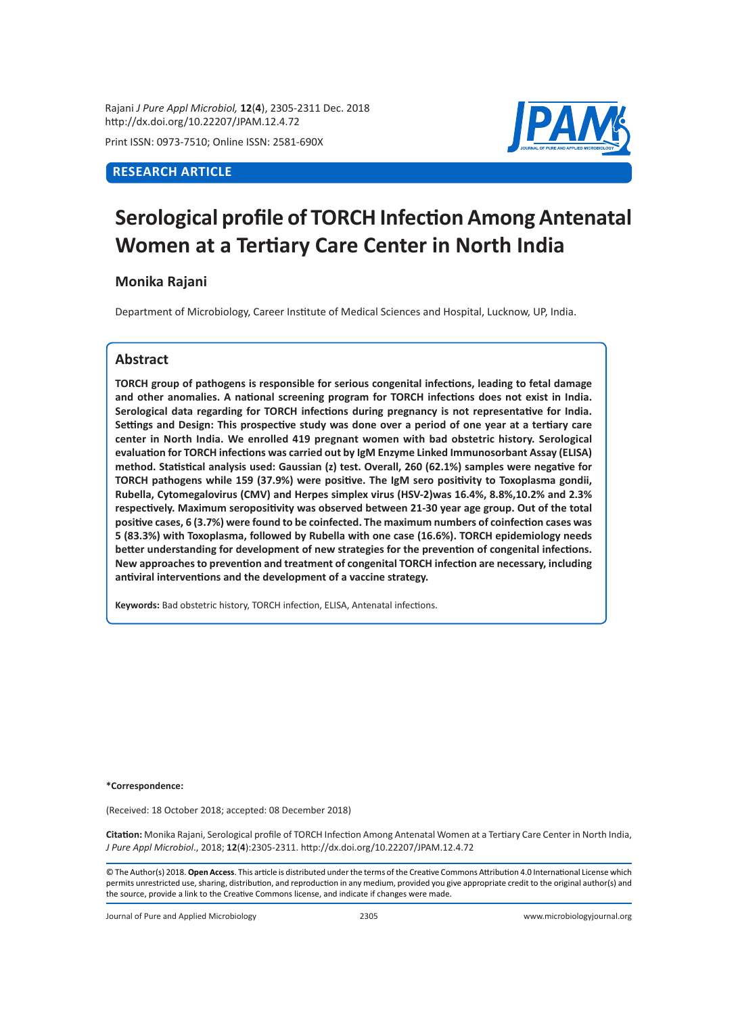Rajani *J Pure Appl Microbiol,* **12**(**4**), 2305-2311 Dec. 2018 http://dx.doi.org/10.22207/JPAM.12.4.72

Print ISSN: 0973-7510; Online ISSN: 2581-690X

# **RESEARCH ARTICLE**



# **Serological profile of TORCH Infection Among Antenatal Women at a Tertiary Care Center in North India**

**Monika Rajani**

Department of Microbiology, Career Institute of Medical Sciences and Hospital, Lucknow, UP, India.

# **Abstract**

**TORCH group of pathogens is responsible for serious congenital infections, leading to fetal damage and other anomalies. A national screening program for TORCH infections does not exist in India. Serological data regarding for TORCH infections during pregnancy is not representative for India. Settings and Design: This prospective study was done over a period of one year at a tertiary care center in North India. We enrolled 419 pregnant women with bad obstetric history. Serological evaluation for TORCH infections was carried out by IgM Enzyme Linked Immunosorbant Assay (ELISA) method. Statistical analysis used: Gaussian (z) test. Overall, 260 (62.1%) samples were negative for TORCH pathogens while 159 (37.9%) were positive. The IgM sero positivity to Toxoplasma gondii, Rubella, Cytomegalovirus (CMV) and Herpes simplex virus (HSV-2)was 16.4%, 8.8%,10.2% and 2.3% respectively. Maximum seropositivity was observed between 21-30 year age group. Out of the total positive cases, 6 (3.7%) were found to be coinfected. The maximum numbers of coinfection cases was 5 (83.3%) with Toxoplasma, followed by Rubella with one case (16.6%). TORCH epidemiology needs better understanding for development of new strategies for the prevention of congenital infections. New approaches to prevention and treatment of congenital TORCH infection are necessary, including antiviral interventions and the development of a vaccine strategy.**

**Keywords:** Bad obstetric history, TORCH infection, ELISA, Antenatal infections.

**\*Correspondence:** 

(Received: 18 October 2018; accepted: 08 December 2018)

**Citation:** Monika Rajani, Serological profile of TORCH Infection Among Antenatal Women at a Tertiary Care Center in North India, *J Pure Appl Microbiol*., 2018; **12**(**4**):2305-2311. http://dx.doi.org/10.22207/JPAM.12.4.72

© The Author(s) 2018. **Open Access**. This article is distributed under the terms of the Creative Commons Attribution 4.0 International License which permits unrestricted use, sharing, distribution, and reproduction in any medium, provided you give appropriate credit to the original author(s) and the source, provide a link to the Creative Commons license, and indicate if changes were made.

Journal of Pure and Applied Microbiology 2305 www.microbiologyjournal.org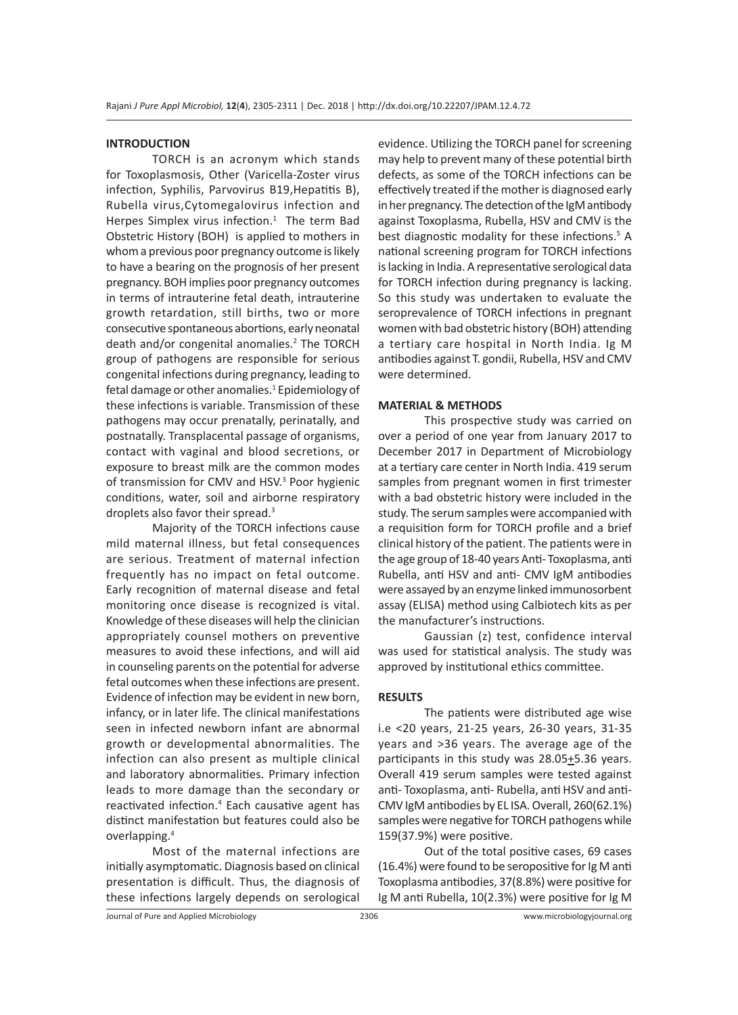## **INTRODUCTION**

TORCH is an acronym which stands for Toxoplasmosis, Other (Varicella-Zoster virus infection, Syphilis, Parvovirus B19,Hepatitis B), Rubella virus,Cytomegalovirus infection and Herpes Simplex virus infection.<sup>1</sup> The term Bad Obstetric History (BOH) is applied to mothers in whom a previous poor pregnancy outcome is likely to have a bearing on the prognosis of her present pregnancy. BOH implies poor pregnancy outcomes in terms of intrauterine fetal death, intrauterine growth retardation, still births, two or more consecutive spontaneous abortions, early neonatal death and/or congenital anomalies.<sup>2</sup> The TORCH group of pathogens are responsible for serious congenital infections during pregnancy, leading to fetal damage or other anomalies.<sup>1</sup> Epidemiology of these infections is variable. Transmission of these pathogens may occur prenatally, perinatally, and postnatally. Transplacental passage of organisms, contact with vaginal and blood secretions, or exposure to breast milk are the common modes of transmission for CMV and HSV.<sup>3</sup> Poor hygienic conditions, water, soil and airborne respiratory droplets also favor their spread.<sup>3</sup>

Majority of the TORCH infections cause mild maternal illness, but fetal consequences are serious. Treatment of maternal infection frequently has no impact on fetal outcome. Early recognition of maternal disease and fetal monitoring once disease is recognized is vital. Knowledge of these diseases will help the clinician appropriately counsel mothers on preventive measures to avoid these infections, and will aid in counseling parents on the potential for adverse fetal outcomes when these infections are present. Evidence of infection may be evident in new born, infancy, or in later life. The clinical manifestations seen in infected newborn infant are abnormal growth or developmental abnormalities. The infection can also present as multiple clinical and laboratory abnormalities. Primary infection leads to more damage than the secondary or reactivated infection.<sup>4</sup> Each causative agent has distinct manifestation but features could also be overlapping.<sup>4</sup>

Most of the maternal infections are initially asymptomatic. Diagnosis based on clinical presentation is difficult. Thus, the diagnosis of these infections largely depends on serological evidence. Utilizing the TORCH panel for screening may help to prevent many of these potential birth defects, as some of the TORCH infections can be effectively treated if the mother is diagnosed early in her pregnancy. The detection of the IgM antibody against Toxoplasma, Rubella, HSV and CMV is the best diagnostic modality for these infections.<sup>5</sup> A national screening program for TORCH infections is lacking in India. A representative serological data for TORCH infection during pregnancy is lacking. So this study was undertaken to evaluate the seroprevalence of TORCH infections in pregnant women with bad obstetric history (BOH) attending a tertiary care hospital in North India. Ig M antibodies against T. gondii, Rubella, HSV and CMV were determined.

#### **MATERIAL & METHODS**

This prospective study was carried on over a period of one year from January 2017 to December 2017 in Department of Microbiology at a tertiary care center in North India. 419 serum samples from pregnant women in first trimester with a bad obstetric history were included in the study. The serum samples were accompanied with a requisition form for TORCH profile and a brief clinical history of the patient. The patients were in the age group of 18-40 years Anti- Toxoplasma, anti Rubella, anti HSV and anti- CMV IgM antibodies were assayed by an enzyme linked immunosorbent assay (ELISA) method using Calbiotech kits as per the manufacturer's instructions.

Gaussian (z) test, confidence interval was used for statistical analysis. The study was approved by institutional ethics committee.

#### **RESULTS**

The patients were distributed age wise i.e <20 years, 21-25 years, 26-30 years, 31-35 years and >36 years. The average age of the participants in this study was  $28.05 \pm 5.36$  years. Overall 419 serum samples were tested against anti- Toxoplasma, anti- Rubella, anti HSV and anti-CMV IgM antibodies by EL ISA. Overall, 260(62.1%) samples were negative for TORCH pathogens while 159(37.9%) were positive.

Out of the total positive cases, 69 cases (16.4%) were found to be seropositive for Ig M anti Toxoplasma antibodies, 37(8.8%) were positive for Ig M anti Rubella, 10(2.3%) were positive for Ig M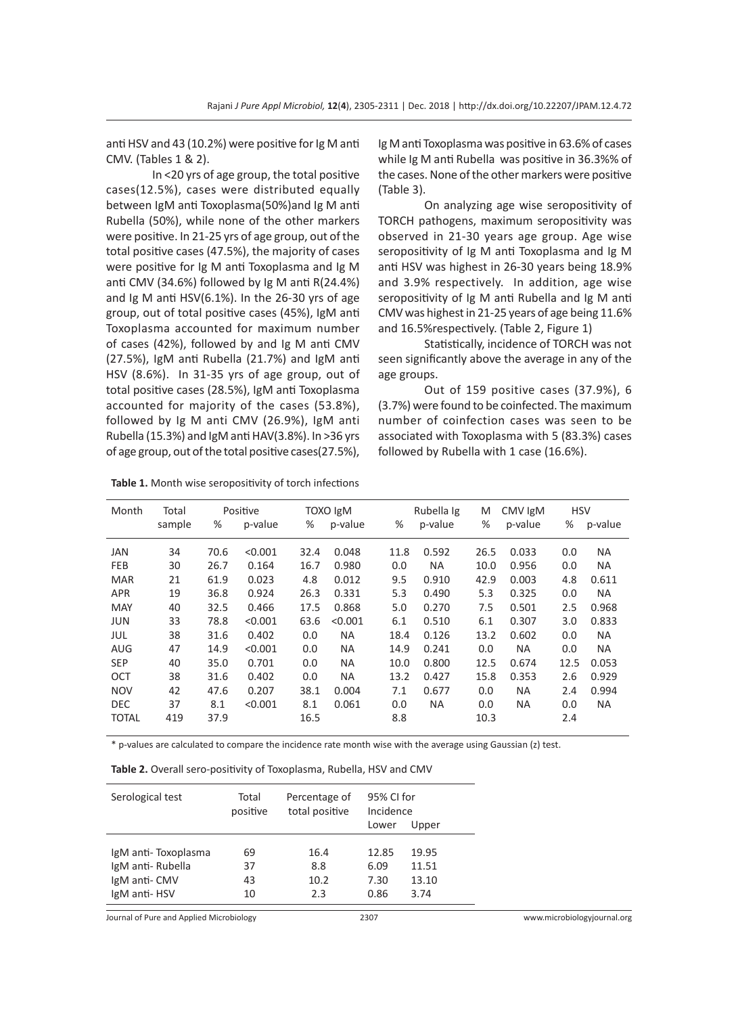anti HSV and 43 (10.2%) were positive for Ig M anti CMV. (Tables 1 & 2).

In <20 yrs of age group, the total positive cases(12.5%), cases were distributed equally between IgM anti Toxoplasma(50%)and Ig M anti Rubella (50%), while none of the other markers were positive. In 21-25 yrs of age group, out of the total positive cases (47.5%), the majority of cases were positive for Ig M anti Toxoplasma and Ig M anti CMV (34.6%) followed by Ig M anti R(24.4%) and Ig M anti HSV(6.1%). In the 26-30 yrs of age group, out of total positive cases (45%), IgM anti Toxoplasma accounted for maximum number of cases (42%), followed by and Ig M anti CMV (27.5%), IgM anti Rubella (21.7%) and IgM anti HSV (8.6%). In 31-35 yrs of age group, out of total positive cases (28.5%), IgM anti Toxoplasma accounted for majority of the cases (53.8%), followed by Ig M anti CMV (26.9%), IgM anti Rubella (15.3%) and IgM anti HAV(3.8%). In >36 yrs of age group, out of the total positive cases(27.5%),

**Table 1.** Month wise seropositivity of torch infections

Ig M anti Toxoplasma was positive in 63.6% of cases while Ig M anti Rubella was positive in 36.3%% of the cases. None of the other markers were positive (Table 3).

On analyzing age wise seropositivity of TORCH pathogens, maximum seropositivity was observed in 21-30 years age group. Age wise seropositivity of Ig M anti Toxoplasma and Ig M anti HSV was highest in 26-30 years being 18.9% and 3.9% respectively. In addition, age wise seropositivity of Ig M anti Rubella and Ig M anti CMV was highest in 21-25 years of age being 11.6% and 16.5%respectively. (Table 2, Figure 1)

Statistically, incidence of TORCH was not seen significantly above the average in any of the age groups.

Out of 159 positive cases (37.9%), 6 (3.7%) were found to be coinfected. The maximum number of coinfection cases was seen to be associated with Toxoplasma with 5 (83.3%) cases followed by Rubella with 1 case (16.6%).

| Month        | Total  |      | Positive |      | <b>Ngl OXOT</b> |      | Rubella Ig | M    | CMV IgM   | <b>HSV</b> |           |
|--------------|--------|------|----------|------|-----------------|------|------------|------|-----------|------------|-----------|
|              | sample | %    | p-value  | %    | p-value         | %    | p-value    | %    | p-value   | %          | p-value   |
| JAN          | 34     | 70.6 | < 0.001  | 32.4 | 0.048           | 11.8 | 0.592      | 26.5 | 0.033     | 0.0        | <b>NA</b> |
| <b>FEB</b>   | 30     | 26.7 | 0.164    | 16.7 | 0.980           | 0.0  | <b>NA</b>  | 10.0 | 0.956     | 0.0        | <b>NA</b> |
| <b>MAR</b>   | 21     | 61.9 | 0.023    | 4.8  | 0.012           | 9.5  | 0.910      | 42.9 | 0.003     | 4.8        | 0.611     |
| <b>APR</b>   | 19     | 36.8 | 0.924    | 26.3 | 0.331           | 5.3  | 0.490      | 5.3  | 0.325     | 0.0        | <b>NA</b> |
| <b>MAY</b>   | 40     | 32.5 | 0.466    | 17.5 | 0.868           | 5.0  | 0.270      | 7.5  | 0.501     | 2.5        | 0.968     |
| <b>JUN</b>   | 33     | 78.8 | < 0.001  | 63.6 | < 0.001         | 6.1  | 0.510      | 6.1  | 0.307     | 3.0        | 0.833     |
| JUL          | 38     | 31.6 | 0.402    | 0.0  | <b>NA</b>       | 18.4 | 0.126      | 13.2 | 0.602     | 0.0        | <b>NA</b> |
| <b>AUG</b>   | 47     | 14.9 | < 0.001  | 0.0  | <b>NA</b>       | 14.9 | 0.241      | 0.0  | <b>NA</b> | 0.0        | <b>NA</b> |
| <b>SEP</b>   | 40     | 35.0 | 0.701    | 0.0  | <b>NA</b>       | 10.0 | 0.800      | 12.5 | 0.674     | 12.5       | 0.053     |
| OCT          | 38     | 31.6 | 0.402    | 0.0  | <b>NA</b>       | 13.2 | 0.427      | 15.8 | 0.353     | 2.6        | 0.929     |
| <b>NOV</b>   | 42     | 47.6 | 0.207    | 38.1 | 0.004           | 7.1  | 0.677      | 0.0  | <b>NA</b> | 2.4        | 0.994     |
| <b>DEC</b>   | 37     | 8.1  | < 0.001  | 8.1  | 0.061           | 0.0  | NA.        | 0.0  | <b>NA</b> | 0.0        | NA.       |
| <b>TOTAL</b> | 419    | 37.9 |          | 16.5 |                 | 8.8  |            | 10.3 |           | 2.4        |           |

\* p-values are calculated to compare the incidence rate month wise with the average using Gaussian (z) test.

|  |  | Table 2. Overall sero-positivity of Toxoplasma, Rubella, HSV and CMV |  |  |  |  |
|--|--|----------------------------------------------------------------------|--|--|--|--|
|--|--|----------------------------------------------------------------------|--|--|--|--|

| Serological test    | Percentage of<br>Total<br>total positive<br>positive |      | 95% CI for<br>Incidence<br>Lower | Upper |
|---------------------|------------------------------------------------------|------|----------------------------------|-------|
| IgM anti-Toxoplasma | 69                                                   | 16.4 | 12.85                            | 19.95 |
| IgM anti-Rubella    | 37                                                   | 8.8  | 6.09                             | 11.51 |
| IgM anti-CMV        | 43                                                   | 10.2 | 7.30                             | 13.10 |
| IgM anti-HSV        | 10                                                   | 2.3  | 0.86                             | 3.74  |

Journal of Pure and Applied Microbiology 2307 www.microbiologyjournal.org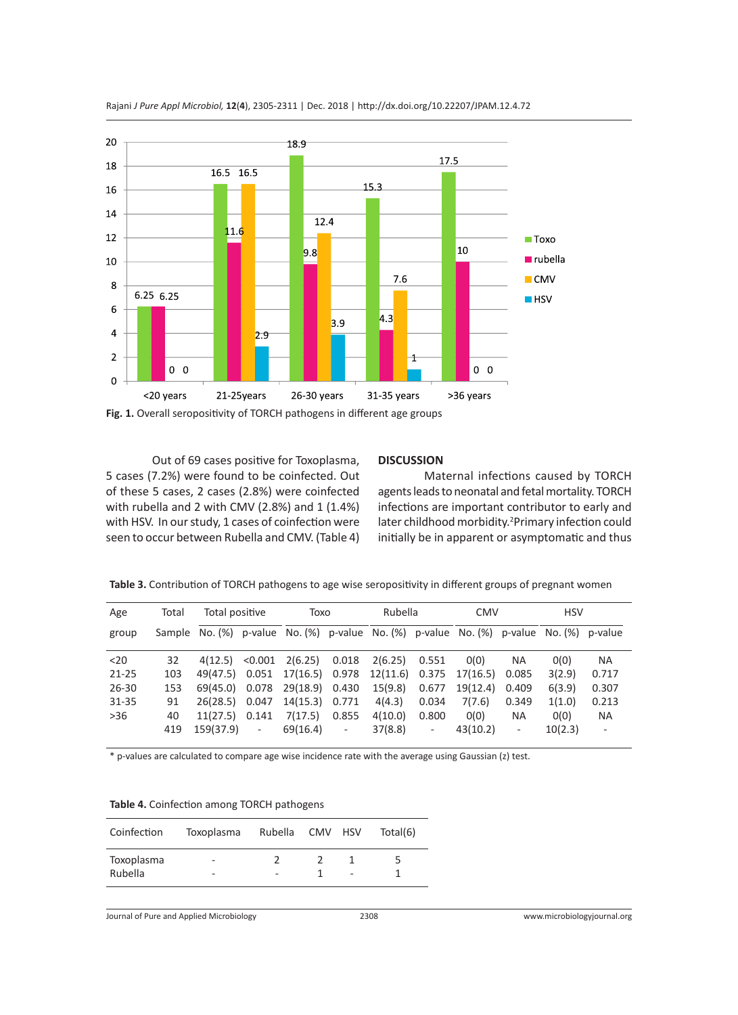

Rajani *J Pure Appl Microbiol,* **12**(**4**), 2305-2311 | Dec. 2018 | http://dx.doi.org/10.22207/JPAM.12.4.72

**Fig. 1.** Overall seropositivity of TORCH pathogens in different age groups

Out of 69 cases positive for Toxoplasma, 5 cases (7.2%) were found to be coinfected. Out of these 5 cases, 2 cases (2.8%) were coinfected with rubella and 2 with CMV (2.8%) and 1 (1.4%) with HSV. In our study, 1 cases of coinfection were seen to occur between Rubella and CMV. (Table 4)

#### **DISCUSSION**

Maternal infections caused by TORCH agents leads to neonatal and fetal mortality. TORCH infections are important contributor to early and later childhood morbidity.<sup>2</sup> Primary infection could initially be in apparent or asymptomatic and thus

**Table 3.** Contribution of TORCH pathogens to age wise seropositivity in different groups of pregnant women

| Age       | Total | Total positive                                                                         |        | Toxo           |                          | Rubella |                          | <b>CMV</b>                                                  |                          | <b>HSV</b> |                          |
|-----------|-------|----------------------------------------------------------------------------------------|--------|----------------|--------------------------|---------|--------------------------|-------------------------------------------------------------|--------------------------|------------|--------------------------|
| group     |       | Sample No. (%) p-value No. (%) p-value No. (%) p-value No. (%) p-value No. (%) p-value |        |                |                          |         |                          |                                                             |                          |            |                          |
| $20$      | 32    | $4(12.5)$ < 0.001                                                                      |        | 2(6.25) 0.018  |                          | 2(6.25) | 0.551                    | O(0)                                                        | <b>NA</b>                | O(0)       | <b>NA</b>                |
| $21 - 25$ | 103   |                                                                                        |        |                |                          |         |                          | 49(47.5) 0.051 17(16.5) 0.978 12(11.6) 0.375 17(16.5) 0.085 |                          | 3(2.9)     | 0.717                    |
| $26 - 30$ | 153   | 69(45.0) 0.078                                                                         |        | 29(18.9) 0.430 |                          | 15(9.8) | 0.677                    | 19(12.4)                                                    | 0.409                    | 6(3.9)     | 0.307                    |
| $31 - 35$ | 91    | 26(28.5) 0.047                                                                         |        | 14(15.3)       | 0.771                    | 4(4.3)  | 0.034                    | 7(7.6)                                                      | 0.349                    | 1(1.0)     | 0.213                    |
| $>36$     | 40    | $11(27.5)$ 0.141                                                                       |        | 7(17.5)        | 0.855                    | 4(10.0) | 0.800                    | O(0)                                                        | <b>NA</b>                | O(0)       | NA.                      |
|           | 419   | 159(37.9)                                                                              | $\sim$ | 69(16.4)       | $\overline{\phantom{0}}$ | 37(8.8) | $\overline{\phantom{a}}$ | 43(10.2)                                                    | $\overline{\phantom{a}}$ | 10(2.3)    | $\overline{\phantom{a}}$ |

\* p-values are calculated to compare age wise incidence rate with the average using Gaussian (z) test.

|  | Table 4. Coinfection among TORCH pathogens |
|--|--------------------------------------------|
|--|--------------------------------------------|

| Coinfection           | Toxoplasma                    | Rubella CMV HSV |                          | Total(6) |
|-----------------------|-------------------------------|-----------------|--------------------------|----------|
| Toxoplasma<br>Rubella | $\overline{\phantom{0}}$<br>- |                 | $\overline{\phantom{a}}$ | ∽        |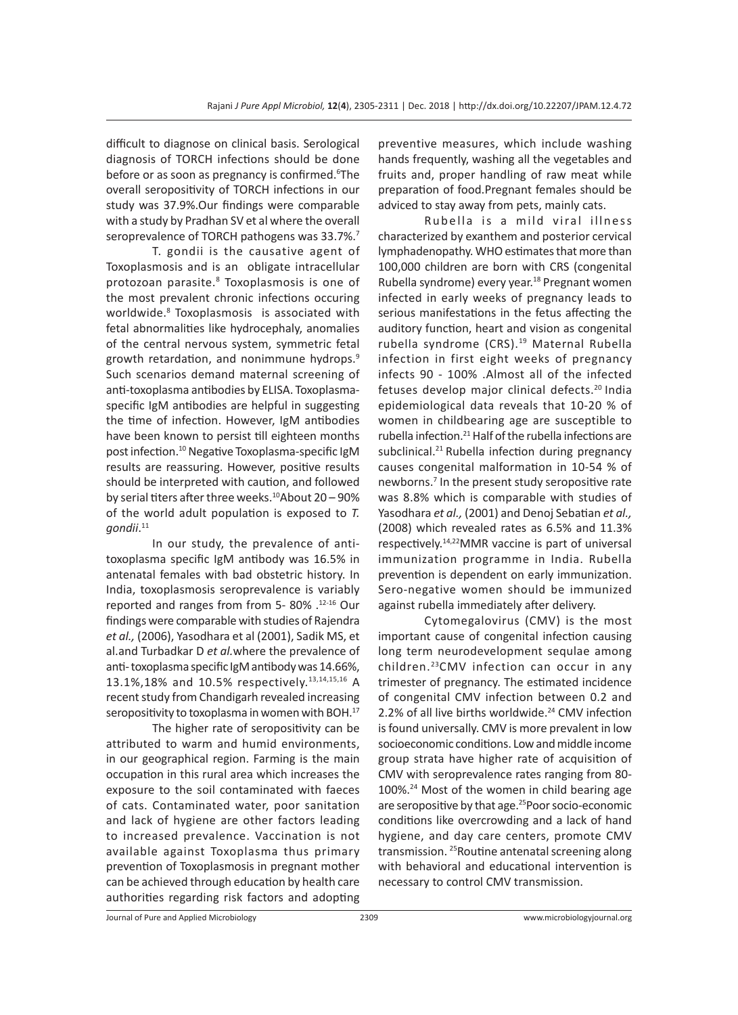difficult to diagnose on clinical basis. Serological diagnosis of TORCH infections should be done before or as soon as pregnancy is confirmed.<sup>6</sup>The overall seropositivity of TORCH infections in our study was 37.9%.Our findings were comparable with a study by Pradhan SV et al where the overall seroprevalence of TORCH pathogens was 33.7%.<sup>7</sup>

T. gondii is the causative agent of Toxoplasmosis and is an obligate intracellular protozoan parasite.<sup>8</sup> Toxoplasmosis is one of the most prevalent chronic infections occuring worldwide.<sup>8</sup> Toxoplasmosis is associated with fetal abnormalities like hydrocephaly, anomalies of the central nervous system, symmetric fetal growth retardation, and nonimmune hydrops.9 Such scenarios demand maternal screening of anti-toxoplasma antibodies by ELISA. Toxoplasmaspecific IgM antibodies are helpful in suggesting the time of infection. However, IgM antibodies have been known to persist till eighteen months post infection.<sup>10</sup> Negative Toxoplasma-specific IgM results are reassuring. However, positive results should be interpreted with caution, and followed by serial titers after three weeks. $10A$ bout 20 – 90% of the world adult population is exposed to *T. gondii*. 11

In our study, the prevalence of antitoxoplasma specific IgM antibody was 16.5% in antenatal females with bad obstetric history. In India, toxoplasmosis seroprevalence is variably reported and ranges from from 5- 80% .12-16 Our findings were comparable with studies of Rajendra *et al.,* (2006), Yasodhara et al (2001), Sadik MS, et al.and Turbadkar D *et al.*where the prevalence of anti- toxoplasma specific IgM antibody was 14.66%, 13.1%,18% and 10.5% respectively.13,14,15,16 A recent study from Chandigarh revealed increasing seropositivity to toxoplasma in women with BOH.<sup>17</sup>

The higher rate of seropositivity can be attributed to warm and humid environments, in our geographical region. Farming is the main occupation in this rural area which increases the exposure to the soil contaminated with faeces of cats. Contaminated water, poor sanitation and lack of hygiene are other factors leading to increased prevalence. Vaccination is not available against Toxoplasma thus primary prevention of Toxoplasmosis in pregnant mother can be achieved through education by health care authorities regarding risk factors and adopting preventive measures, which include washing hands frequently, washing all the vegetables and fruits and, proper handling of raw meat while preparation of food.Pregnant females should be adviced to stay away from pets, mainly cats.

Rubella is a mild viral illness characterized by exanthem and posterior cervical lymphadenopathy. WHO estimates that more than 100,000 children are born with CRS (congenital Rubella syndrome) every year.<sup>18</sup> Pregnant women infected in early weeks of pregnancy leads to serious manifestations in the fetus affecting the auditory function, heart and vision as congenital rubella syndrome (CRS).<sup>19</sup> Maternal Rubella infection in first eight weeks of pregnancy infects 90 - 100% .Almost all of the infected fetuses develop major clinical defects.<sup>20</sup> India epidemiological data reveals that 10-20 % of women in childbearing age are susceptible to rubella infection.<sup>21</sup> Half of the rubella infections are subclinical.<sup>21</sup> Rubella infection during pregnancy causes congenital malformation in 10-54 % of newborns.7 In the present study seropositive rate was 8.8% which is comparable with studies of Yasodhara *et al.,* (2001) and Denoj Sebatian *et al.,*  (2008) which revealed rates as 6.5% and 11.3% respectively.14,22MMR vaccine is part of universal immunization programme in India. Rubella prevention is dependent on early immunization. Sero-negative women should be immunized against rubella immediately after delivery.

Cytomegalovirus (CMV) is the most important cause of congenital infection causing long term neurodevelopment sequlae among children.<sup>23</sup>CMV infection can occur in any trimester of pregnancy. The estimated incidence of congenital CMV infection between 0.2 and 2.2% of all live births worldwide.<sup>24</sup> CMV infection is found universally. CMV is more prevalent in low socioeconomic conditions. Low and middle income group strata have higher rate of acquisition of CMV with seroprevalence rates ranging from 80- 100%.24 Most of the women in child bearing age are seropositive by that age.<sup>25</sup>Poor socio-economic conditions like overcrowding and a lack of hand hygiene, and day care centers, promote CMV transmission. <sup>25</sup>Routine antenatal screening along with behavioral and educational intervention is necessary to control CMV transmission.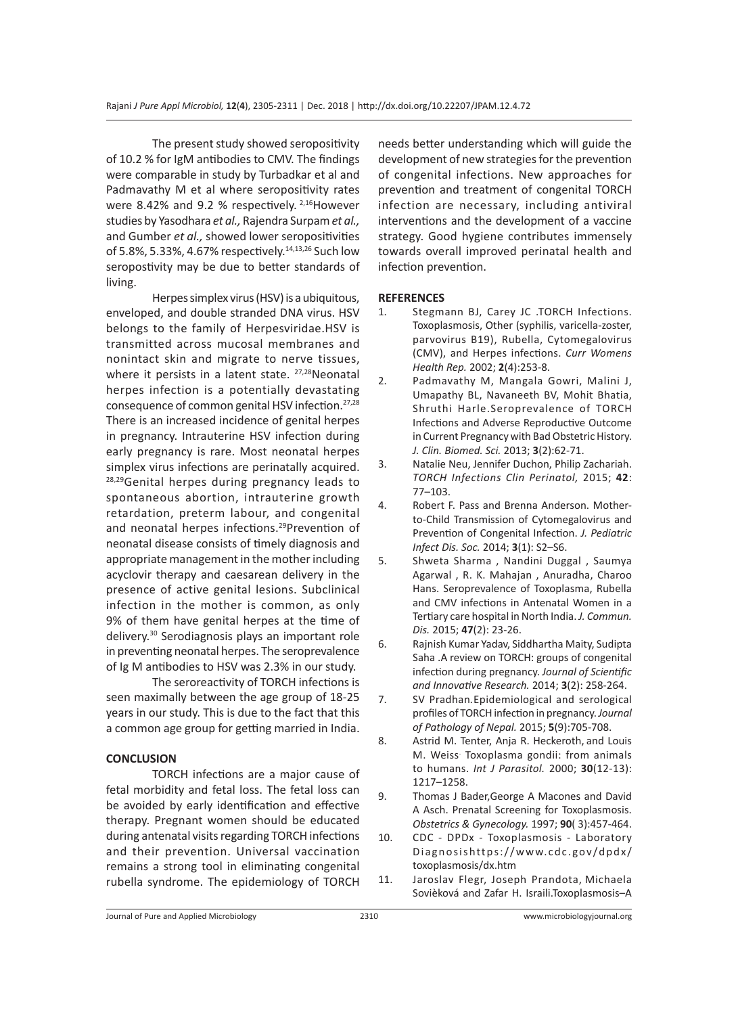The present study showed seropositivity of 10.2 % for IgM antibodies to CMV. The findings were comparable in study by Turbadkar et al and Padmavathy M et al where seropositivity rates were 8.42% and 9.2 % respectively. <sup>2,16</sup>However studies by Yasodhara *et al.,* Rajendra Surpam *et al.,*  and Gumber *et al.,* showed lower seropositivities of 5.8%, 5.33%, 4.67% respectively.<sup>14,13,26</sup> Such low seropostivity may be due to better standards of living.

Herpes simplex virus (HSV) is a ubiquitous, enveloped, and double stranded DNA virus. HSV belongs to the family of Herpesviridae.HSV is transmitted across mucosal membranes and nonintact skin and migrate to nerve tissues, where it persists in a latent state. <sup>27,28</sup>Neonatal herpes infection is a potentially devastating consequence of common genital HSV infection.27,28 There is an increased incidence of genital herpes in pregnancy. Intrauterine HSV infection during early pregnancy is rare. Most neonatal herpes simplex virus infections are perinatally acquired. 28,29 Genital herpes during pregnancy leads to spontaneous abortion, intrauterine growth retardation, preterm labour, and congenital and neonatal herpes infections.<sup>29</sup>Prevention of neonatal disease consists of timely diagnosis and appropriate management in the mother including acyclovir therapy and caesarean delivery in the presence of active genital lesions. Subclinical infection in the mother is common, as only 9% of them have genital herpes at the time of delivery.<sup>30</sup> Serodiagnosis plays an important role in preventing neonatal herpes. The seroprevalence of Ig M antibodies to HSV was 2.3% in our study.

The seroreactivity of TORCH infections is seen maximally between the age group of 18-25 years in our study. This is due to the fact that this a common age group for getting married in India.

## **CONCLUSION**

TORCH infections are a major cause of fetal morbidity and fetal loss. The fetal loss can be avoided by early identification and effective therapy. Pregnant women should be educated during antenatal visits regarding TORCH infections and their prevention. Universal vaccination remains a strong tool in eliminating congenital rubella syndrome. The epidemiology of TORCH needs better understanding which will guide the development of new strategies for the prevention of congenital infections. New approaches for prevention and treatment of congenital TORCH infection are necessary, including antiviral interventions and the development of a vaccine strategy. Good hygiene contributes immensely towards overall improved perinatal health and infection prevention.

## **REFERENCES**

- 1. Stegmann BJ, Carey JC .TORCH Infections. Toxoplasmosis, Other (syphilis, varicella-zoster, parvovirus B19), Rubella, Cytomegalovirus (CMV), and Herpes infections. *Curr Womens Health Rep.* 2002; **2**(4):253-8.
- 2. Padmavathy M, Mangala Gowri, Malini J, Umapathy BL, Navaneeth BV, Mohit Bhatia, Shruthi Harle.Seroprevalence of TORCH Infections and Adverse Reproductive Outcome in Current Pregnancy with Bad Obstetric History. *J. Clin. Biomed. Sci.* 2013; **3**(2):62-71.
- 3. Natalie Neu, Jennifer Duchon, Philip Zachariah. *TORCH Infections Clin Perinatol,* 2015; **42**: 77–103.
- 4. Robert F. Pass and Brenna Anderson. Motherto-Child Transmission of Cytomegalovirus and Prevention of Congenital Infection. *J. Pediatric Infect Dis. Soc.* 2014; **3**(1): S2–S6.
- 5. Shweta Sharma , Nandini Duggal , Saumya Agarwal , R. K. Mahajan , Anuradha, Charoo Hans. Seroprevalence of Toxoplasma, Rubella and CMV infections in Antenatal Women in a Tertiary care hospital in North India. *J. Commun. Dis.* 2015; **47**(2): 23-26.
- 6. Rajnish Kumar Yadav, Siddhartha Maity, Sudipta Saha .A review on TORCH: groups of congenital infection during pregnancy. *Journal of Scientific and Innovative Research.* 2014; **3**(2): 258-264.
- 7. SV Pradhan*.*Epidemiological and serological profiles of TORCH infection in pregnancy. *Journal of Pathology of Nepal.* 2015; **5**(9):705-708.
- 8. Astrid M. Tenter, Anja R. Heckeroth, and Louis M. Weiss. Toxoplasma gondii: from animals to humans. *Int J Parasitol.* 2000; **30**(12-13): 1217–1258.
- 9. Thomas J Bader,George A Macones and David A Asch. Prenatal Screening for Toxoplasmosis. *Obstetrics & Gynecology.* 1997; **90**( 3):457-464.
- 10. CDC DPDx Toxoplasmosis Laboratory Diagnosishttps://www.cdc.gov/dpdx/ toxoplasmosis/dx.htm
- 11. Jaroslav Flegr, Joseph Prandota, Michaela Sovièková and Zafar H. Israili.Toxoplasmosis–A